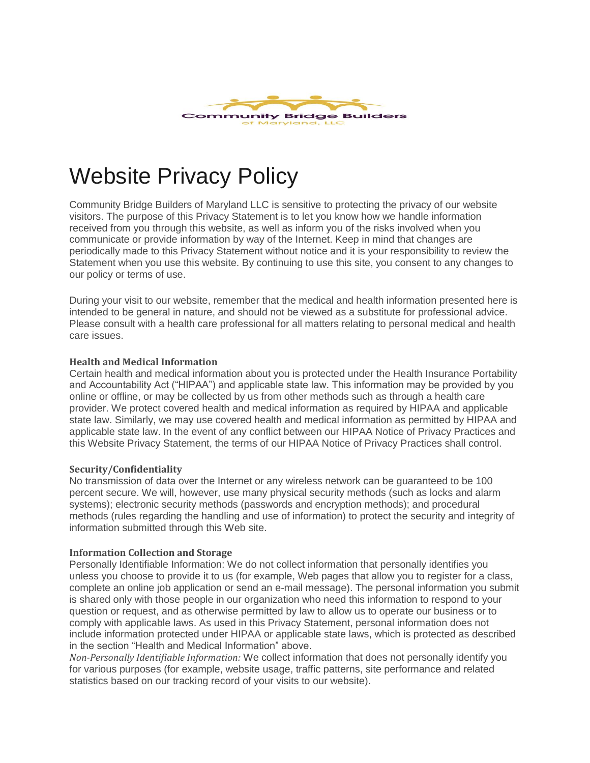

# Website Privacy Policy

Community Bridge Builders of Maryland LLC is sensitive to protecting the privacy of our website visitors. The purpose of this Privacy Statement is to let you know how we handle information received from you through this website, as well as inform you of the risks involved when you communicate or provide information by way of the Internet. Keep in mind that changes are periodically made to this Privacy Statement without notice and it is your responsibility to review the Statement when you use this website. By continuing to use this site, you consent to any changes to our policy or terms of use.

During your visit to our website, remember that the medical and health information presented here is intended to be general in nature, and should not be viewed as a substitute for professional advice. Please consult with a health care professional for all matters relating to personal medical and health care issues.

#### **Health and Medical Information**

Certain health and medical information about you is protected under the Health Insurance Portability and Accountability Act ("HIPAA") and applicable state law. This information may be provided by you online or offline, or may be collected by us from other methods such as through a health care provider. We protect covered health and medical information as required by HIPAA and applicable state law. Similarly, we may use covered health and medical information as permitted by HIPAA and applicable state law. In the event of any conflict between our HIPAA Notice of Privacy Practices and this Website Privacy Statement, the terms of our HIPAA Notice of Privacy Practices shall control.

#### **Security/Confidentiality**

No transmission of data over the Internet or any wireless network can be guaranteed to be 100 percent secure. We will, however, use many physical security methods (such as locks and alarm systems); electronic security methods (passwords and encryption methods); and procedural methods (rules regarding the handling and use of information) to protect the security and integrity of information submitted through this Web site.

#### **Information Collection and Storage**

Personally Identifiable Information: We do not collect information that personally identifies you unless you choose to provide it to us (for example, Web pages that allow you to register for a class, complete an online job application or send an e-mail message). The personal information you submit is shared only with those people in our organization who need this information to respond to your question or request, and as otherwise permitted by law to allow us to operate our business or to comply with applicable laws. As used in this Privacy Statement, personal information does not include information protected under HIPAA or applicable state laws, which is protected as described in the section "Health and Medical Information" above.

*Non-Personally Identifiable Information:* We collect information that does not personally identify you for various purposes (for example, website usage, traffic patterns, site performance and related statistics based on our tracking record of your visits to our website).